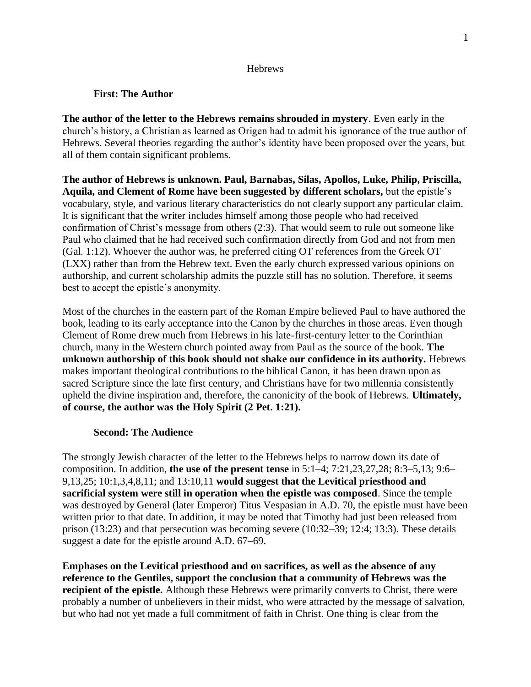#### **Hebrews**

# **First: The Author**

**The author of the letter to the Hebrews remains shrouded in mystery**. Even early in the church's history, a Christian as learned as Origen had to admit his ignorance of the true author of Hebrews. Several theories regarding the author's identity have been proposed over the years, but all of them contain significant problems.

**The author of Hebrews is unknown. Paul, Barnabas, Silas, Apollos, Luke, Philip, Priscilla, Aquila, and Clement of Rome have been suggested by different scholars,** but the epistle's vocabulary, style, and various literary characteristics do not clearly support any particular claim. It is significant that the writer includes himself among those people who had received confirmation of Christ's message from others (2:3). That would seem to rule out someone like Paul who claimed that he had received such confirmation directly from God and not from men (Gal. 1:12). Whoever the author was, he preferred citing OT references from the Greek OT (LXX) rather than from the Hebrew text. Even the early church expressed various opinions on authorship, and current scholarship admits the puzzle still has no solution. Therefore, it seems best to accept the epistle's anonymity.

Most of the churches in the eastern part of the Roman Empire believed Paul to have authored the book, leading to its early acceptance into the Canon by the churches in those areas. Even though Clement of Rome drew much from Hebrews in his late-first-century letter to the Corinthian church, many in the Western church pointed away from Paul as the source of the book. **The unknown authorship of this book should not shake our confidence in its authority.** Hebrews makes important theological contributions to the biblical Canon, it has been drawn upon as sacred Scripture since the late first century, and Christians have for two millennia consistently upheld the divine inspiration and, therefore, the canonicity of the book of Hebrews. **Ultimately, of course, the author was the Holy Spirit (2 Pet. 1:21).**

### **Second: The Audience**

The strongly Jewish character of the letter to the Hebrews helps to narrow down its date of composition. In addition, **the use of the present tense** in 5:1–4; 7:21,23,27,28; 8:3–5,13; 9:6– 9,13,25; 10:1,3,4,8,11; and 13:10,11 **would suggest that the Levitical priesthood and sacrificial system were still in operation when the epistle was composed**. Since the temple was destroyed by General (later Emperor) Titus Vespasian in A.D. 70, the epistle must have been written prior to that date. In addition, it may be noted that Timothy had just been released from prison (13:23) and that persecution was becoming severe (10:32–39; 12:4; 13:3). These details suggest a date for the epistle around A.D. 67–69.

**Emphases on the Levitical priesthood and on sacrifices, as well as the absence of any reference to the Gentiles, support the conclusion that a community of Hebrews was the recipient of the epistle.** Although these Hebrews were primarily converts to Christ, there were probably a number of unbelievers in their midst, who were attracted by the message of salvation, but who had not yet made a full commitment of faith in Christ. One thing is clear from the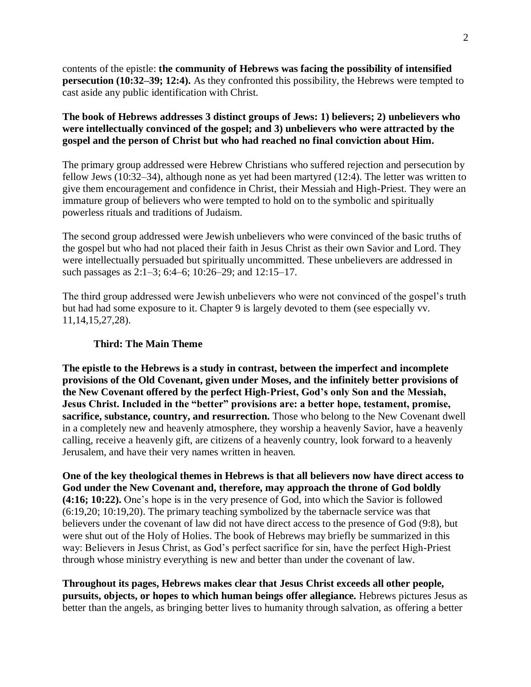contents of the epistle: **the community of Hebrews was facing the possibility of intensified persecution (10:32–39; 12:4).** As they confronted this possibility, the Hebrews were tempted to cast aside any public identification with Christ.

# **The book of Hebrews addresses 3 distinct groups of Jews: 1) believers; 2) unbelievers who were intellectually convinced of the gospel; and 3) unbelievers who were attracted by the gospel and the person of Christ but who had reached no final conviction about Him.**

The primary group addressed were Hebrew Christians who suffered rejection and persecution by fellow Jews (10:32–34), although none as yet had been martyred (12:4). The letter was written to give them encouragement and confidence in Christ, their Messiah and High-Priest. They were an immature group of believers who were tempted to hold on to the symbolic and spiritually powerless rituals and traditions of Judaism.

The second group addressed were Jewish unbelievers who were convinced of the basic truths of the gospel but who had not placed their faith in Jesus Christ as their own Savior and Lord. They were intellectually persuaded but spiritually uncommitted. These unbelievers are addressed in such passages as 2:1–3; 6:4–6; 10:26–29; and 12:15–17.

The third group addressed were Jewish unbelievers who were not convinced of the gospel's truth but had had some exposure to it. Chapter 9 is largely devoted to them (see especially vv. 11,14,15,27,28).

### **Third: The Main Theme**

**The epistle to the Hebrews is a study in contrast, between the imperfect and incomplete provisions of the Old Covenant, given under Moses, and the infinitely better provisions of the New Covenant offered by the perfect High-Priest, God's only Son and the Messiah, Jesus Christ. Included in the "better" provisions are: a better hope, testament, promise, sacrifice, substance, country, and resurrection.** Those who belong to the New Covenant dwell in a completely new and heavenly atmosphere, they worship a heavenly Savior, have a heavenly calling, receive a heavenly gift, are citizens of a heavenly country, look forward to a heavenly Jerusalem, and have their very names written in heaven.

**One of the key theological themes in Hebrews is that all believers now have direct access to God under the New Covenant and, therefore, may approach the throne of God boldly (4:16; 10:22).** One's hope is in the very presence of God, into which the Savior is followed (6:19,20; 10:19,20). The primary teaching symbolized by the tabernacle service was that believers under the covenant of law did not have direct access to the presence of God (9:8), but were shut out of the Holy of Holies. The book of Hebrews may briefly be summarized in this way: Believers in Jesus Christ, as God's perfect sacrifice for sin, have the perfect High-Priest through whose ministry everything is new and better than under the covenant of law.

**Throughout its pages, Hebrews makes clear that Jesus Christ exceeds all other people, pursuits, objects, or hopes to which human beings offer allegiance.** Hebrews pictures Jesus as better than the angels, as bringing better lives to humanity through salvation, as offering a better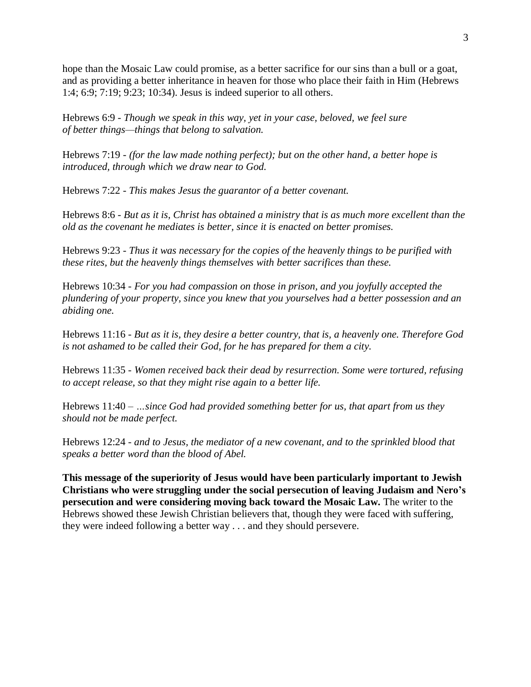hope than the Mosaic Law could promise, as a better sacrifice for our sins than a bull or a goat, and as providing a better inheritance in heaven for those who place their faith in Him (Hebrews 1:4; 6:9; 7:19; 9:23; 10:34). Jesus is indeed superior to all others.

Hebrews 6:9 - *Though we speak in this way, yet in your case, beloved, we feel sure of better things—things that belong to salvation.*

Hebrews 7:19 - *(for the law made nothing perfect); but on the other hand, a better hope is introduced, through which we draw near to God.*

Hebrews 7:22 - *This makes Jesus the guarantor of a better covenant.*

Hebrews 8:6 - *But as it is, Christ has obtained a ministry that is as much more excellent than the old as the covenant he mediates is better, since it is enacted on better promises.*

Hebrews 9:23 - *Thus it was necessary for the copies of the heavenly things to be purified with these rites, but the heavenly things themselves with better sacrifices than these.*

Hebrews 10:34 - *For you had compassion on those in prison, and you joyfully accepted the plundering of your property, since you knew that you yourselves had a better possession and an abiding one.*

Hebrews 11:16 - *But as it is, they desire a better country, that is, a heavenly one. Therefore God is not ashamed to be called their God, for he has prepared for them a city.*

Hebrews 11:35 - *Women received back their dead by resurrection. Some were tortured, refusing to accept release, so that they might rise again to a better life.*

Hebrews 11:40 – *…since God had provided something better for us, that apart from us they should not be made perfect.*

Hebrews 12:24 - *and to Jesus, the mediator of a new covenant, and to the sprinkled blood that speaks a better word than the blood of Abel.*

**This message of the superiority of Jesus would have been particularly important to Jewish Christians who were struggling under the social persecution of leaving Judaism and Nero's persecution and were considering moving back toward the Mosaic Law.** The writer to the Hebrews showed these Jewish Christian believers that, though they were faced with suffering, they were indeed following a better way . . . and they should persevere.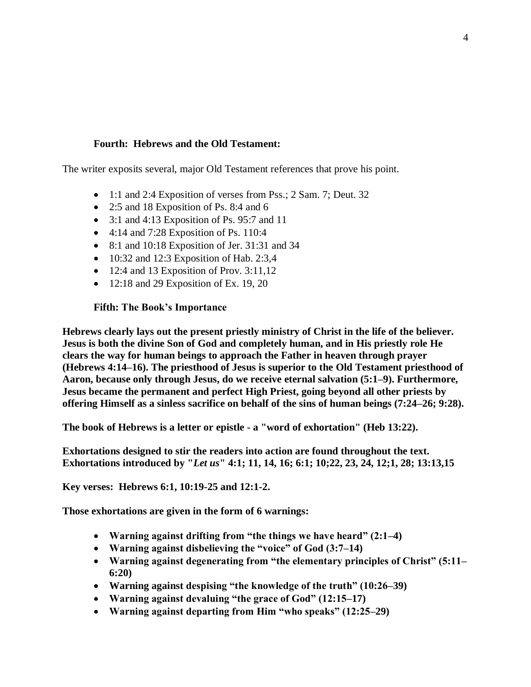# **Fourth: Hebrews and the Old Testament:**

The writer exposits several, major Old Testament references that prove his point.

- 1:1 and 2:4 Exposition of verses from Pss.; [2 Sam. 7;](https://biblia.com/bible/nasb95/2%20Sam.%207) [Deut. 32](https://biblia.com/bible/nasb95/Deut.%2032)
- 2:5 and 18 Exposition of [Ps. 8:4](https://biblia.com/bible/nasb95/Ps.%208.4) and [6](https://biblia.com/bible/nasb95/Ps%208.6)
- 3:1 and 4:13 Exposition of [Ps. 95:7](https://biblia.com/bible/nasb95/Ps.%2095.7) and [11](https://biblia.com/bible/nasb95/Ps%2095.11)
- 4:14 and  $7:28$  Exposition of [Ps. 110:4](https://biblia.com/bible/nasb95/Ps.%20110.4)
- 8:1 and 10:18 Exposition of [Jer. 31:31](https://biblia.com/bible/nasb95/Jer.%2031.31) and [34](https://biblia.com/bible/nasb95/Jer%2031.34)
- 10:32 and 12:3 Exposition of [Hab. 2:3,](https://biblia.com/bible/nasb95/Hab.%202.3)[4](https://biblia.com/bible/nasb95/Hab%202.4)
- 12:4 and 13 Exposition of [Prov. 3:11](https://biblia.com/bible/nasb95/Prov.%203.11)[,12](https://biblia.com/bible/nasb95/Prov%203.12)
- 12:18 and 29 Exposition of [Ex. 19,](https://biblia.com/bible/nasb95/Exod.%2019) [20](https://biblia.com/bible/nasb95/Ex%2019.20)

### **Fifth: The Book's Importance**

**Hebrews clearly lays out the present priestly ministry of Christ in the life of the believer. Jesus is both the divine Son of God and completely human, and in His priestly role He clears the way for human beings to approach the Father in heaven through prayer (Hebrews 4:14–16). The priesthood of Jesus is superior to the Old Testament priesthood of Aaron, because only through Jesus, do we receive eternal salvation (5:1–9). Furthermore, Jesus became the permanent and perfect High Priest, going beyond all other priests by offering Himself as a sinless sacrifice on behalf of the sins of human beings (7:24–26; 9:28).**

**The book of Hebrews is a letter or epistle - a "word of exhortation" (Heb 13:22).** 

**Exhortations designed to stir the readers into action are found throughout the text. Exhortations introduced by "***Let us***" 4:1; 11, 14, 16; 6:1; 10;22, 23, 24, 12;1, 28; 13:13,15**

**Key verses: Hebrews 6:1, 10:19-25 and 12:1-2.**

**Those exhortations are given in the form of 6 warnings:**

- **Warning against drifting from "the things we have heard" (2:1–4)**
- **Warning against disbelieving the "voice" of God (3:7–14)**
- **Warning against degenerating from "the elementary principles of Christ" (5:11– 6:20)**
- **Warning against despising "the knowledge of the truth" (10:26–39)**
- **Warning against devaluing "the grace of God" (12:15–17)**
- **Warning against departing from Him "who speaks" (12:25–29)**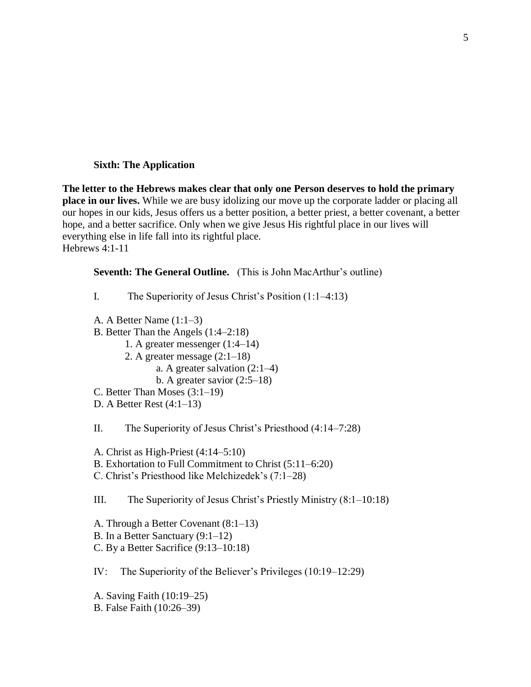### **Sixth: The Application**

**The letter to the Hebrews makes clear that only one Person deserves to hold the primary place in our lives.** While we are busy idolizing our move up the corporate ladder or placing all our hopes in our kids, Jesus offers us a better position, a better priest, a better covenant, a better hope, and a better sacrifice. Only when we give Jesus His rightful place in our lives will everything else in life fall into its rightful place. Hebrews 4:1-11

**Seventh: The General Outline.** (This is John MacArthur's outline)

I. The Superiority of Jesus Christ's Position (1:1–4:13) A. A Better Name (1:1–3) B. Better Than the Angels (1:4–2:18) 1. A greater messenger (1:4–14) 2. A greater message (2:1–18) a. A greater salvation (2:1–4) b. A greater savior (2:5–18) C. Better Than Moses (3:1–19) D. A Better Rest (4:1–13) II. The Superiority of Jesus Christ's Priesthood (4:14–7:28) A. Christ as High-Priest (4:14–5:10) B. Exhortation to Full Commitment to Christ (5:11–6:20) C. Christ's Priesthood like Melchizedek's (7:1–28) III. The Superiority of Jesus Christ's Priestly Ministry (8:1–10:18) A. Through a Better Covenant (8:1–13) B. In a Better Sanctuary (9:1–12) C. By a Better Sacrifice (9:13–10:18) IV: The Superiority of the Believer's Privileges (10:19–12:29) A. Saving Faith (10:19–25)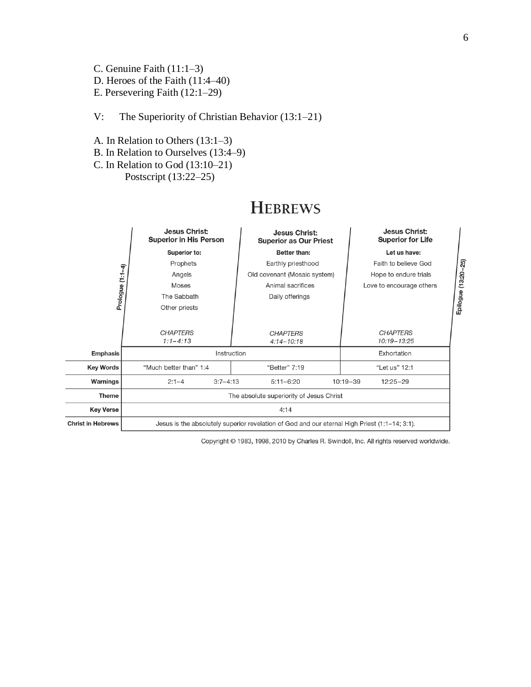C. Genuine Faith (11:1–3) D. Heroes of the Faith (11:4–40) E. Persevering Faith (12:1–29)

# V: The Superiority of Christian Behavior (13:1–21)

- A. In Relation to Others (13:1–3)
- B. In Relation to Ourselves (13:4–9)
- C. In Relation to God (13:10–21)

Postscript (13:22–25)

|                          | Jesus Christ:                                                                                 |                                                | Jesus Christ:                |                     |  |  |  |  |
|--------------------------|-----------------------------------------------------------------------------------------------|------------------------------------------------|------------------------------|---------------------|--|--|--|--|
|                          | <b>Superior in His Person</b>                                                                 | Jesus Christ:<br><b>Superior as Our Priest</b> | <b>Superior for Life</b>     |                     |  |  |  |  |
|                          | Superior to:                                                                                  | Better than:                                   | Let us have:                 |                     |  |  |  |  |
|                          | Prophets                                                                                      | Earthly priesthood                             | Faith to believe God         |                     |  |  |  |  |
|                          | Angels                                                                                        | Old covenant (Mosaic system)                   | Hope to endure trials        | Epilogue (13:20-25) |  |  |  |  |
|                          | Moses                                                                                         | Animal sacrifices                              | Love to encourage others     |                     |  |  |  |  |
| Prologue (1:1-4)         | The Sabbath                                                                                   | Daily offerings                                |                              |                     |  |  |  |  |
|                          | Other priests                                                                                 |                                                |                              |                     |  |  |  |  |
|                          |                                                                                               |                                                |                              |                     |  |  |  |  |
|                          | <b>CHAPTERS</b>                                                                               | <b>CHAPTERS</b>                                | <b>CHAPTERS</b>              |                     |  |  |  |  |
|                          | $1:1 - 4:13$                                                                                  | $4:14 - 10:18$                                 | 10:19-13:25                  |                     |  |  |  |  |
| Emphasis                 | Instruction                                                                                   | Exhortation                                    |                              |                     |  |  |  |  |
| <b>Key Words</b>         | "Much better than" 1:4                                                                        | "Better" 7:19                                  | "Let us" 12:1                |                     |  |  |  |  |
| Warnings                 | $2:1 - 4$<br>$3:7 - 4:13$                                                                     | $5:11 - 6:20$                                  | $10:19 - 39$<br>$12:25 - 29$ |                     |  |  |  |  |
| <b>Theme</b>             | The absolute superiority of Jesus Christ                                                      |                                                |                              |                     |  |  |  |  |
| <b>Key Verse</b>         | 4:14                                                                                          |                                                |                              |                     |  |  |  |  |
| <b>Christ in Hebrews</b> | Jesus is the absolutely superior revelation of God and our eternal High Priest (1:1–14; 3:1). |                                                |                              |                     |  |  |  |  |

# **HEBREWS**

Copyright © 1983, 1998, 2010 by Charles R. Swindoll, Inc. All rights reserved worldwide.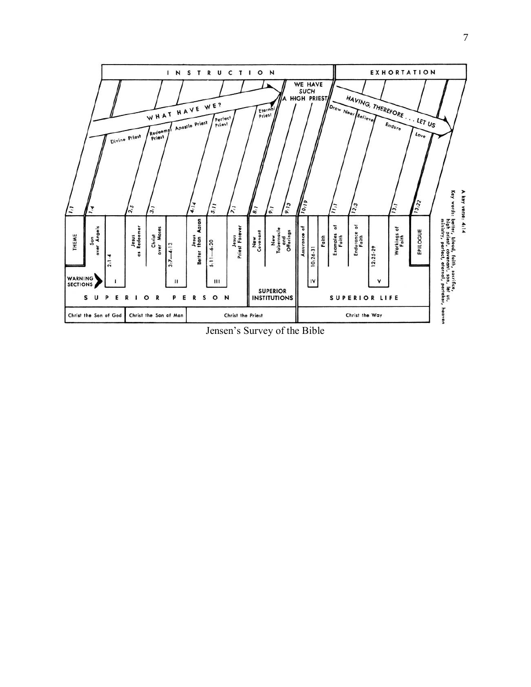

Jensen's Survey of the Bible